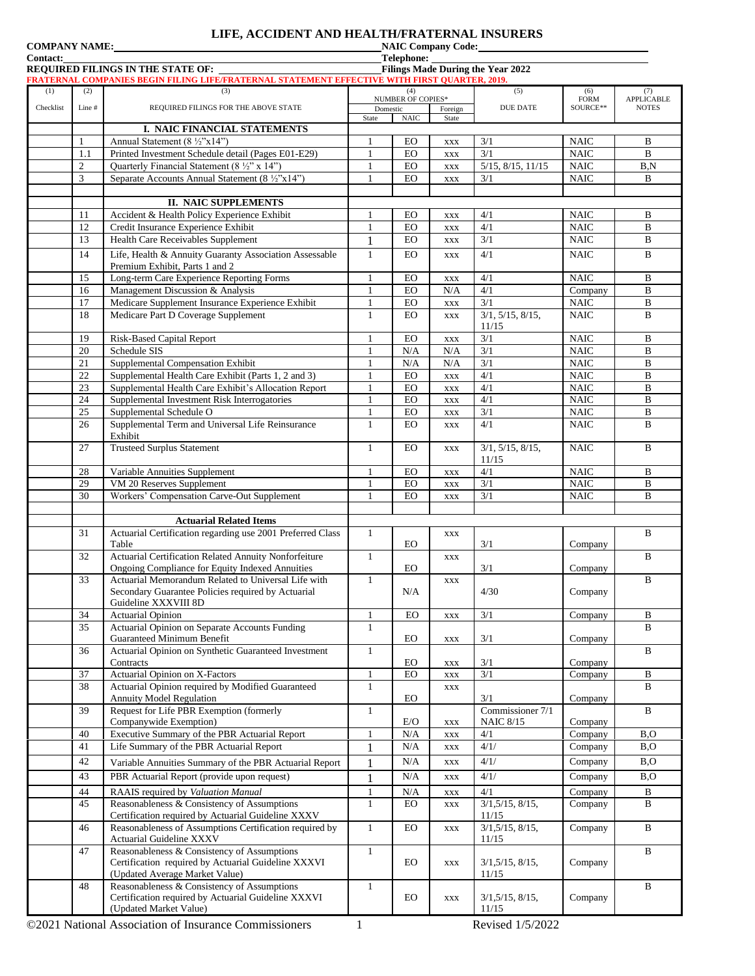|                      | LIFE, ACCIDENT AND HEALTH/FRATERNAL INSURERS |
|----------------------|----------------------------------------------|
| <b>COMPANY NAME:</b> | <b>NAIC Company Code:</b>                    |

| COMIL AREL IVANIE.<br><b>Contact:</b> |                |                                                                                               |              | Telephone:                      | <b>EVALUE</b> COMPANY COUL. |                                   |                            |                   |
|---------------------------------------|----------------|-----------------------------------------------------------------------------------------------|--------------|---------------------------------|-----------------------------|-----------------------------------|----------------------------|-------------------|
|                                       |                | REQUIRED FILINGS IN THE STATE OF:                                                             |              |                                 |                             | Filings Made During the Year 2022 |                            |                   |
|                                       |                | FRATERNAL COMPANIES BEGIN FILING LIFE/FRATERNAL STATEMENT EFFECTIVE WITH FIRST QUARTER, 2019. |              |                                 |                             |                                   |                            |                   |
| (1)                                   | (2)            | (3)                                                                                           |              | (4)<br><b>NUMBER OF COPIES*</b> |                             | (5)                               | (6)<br><b>FORM</b>         | (7)<br>APPLICABLE |
| Checklist                             | Line#          | REQUIRED FILINGS FOR THE ABOVE STATE                                                          |              | Domestic                        | Foreign                     | <b>DUE DATE</b>                   | SOURCE**                   | <b>NOTES</b>      |
|                                       |                |                                                                                               | State        | <b>NAIC</b>                     | State                       |                                   |                            |                   |
|                                       | $\mathbf{1}$   | I. NAIC FINANCIAL STATEMENTS<br>Annual Statement (8 ½"x14")                                   | 1            | EO                              |                             | 3/1                               | <b>NAIC</b>                | B                 |
|                                       | 1.1            | Printed Investment Schedule detail (Pages E01-E29)                                            | 1            | EO                              | <b>XXX</b><br><b>XXX</b>    | 3/1                               | <b>NAIC</b>                | $\mathbf B$       |
|                                       | $\overline{c}$ | Quarterly Financial Statement (8 1/2" x 14")                                                  | 1            | EO                              | <b>XXX</b>                  | $5/15$ , $8/15$ , $11/15$         | <b>NAIC</b>                | B, N              |
|                                       | 3              | Separate Accounts Annual Statement (8 ½"x14")                                                 | 1            | <b>EO</b>                       | <b>XXX</b>                  | 3/1                               | <b>NAIC</b>                | B                 |
|                                       |                |                                                                                               |              |                                 |                             |                                   |                            |                   |
|                                       |                | <b>II. NAIC SUPPLEMENTS</b>                                                                   |              |                                 |                             |                                   |                            |                   |
|                                       | 11             | Accident & Health Policy Experience Exhibit                                                   | 1            | EO                              | XXX                         | 4/1                               | <b>NAIC</b>                | B                 |
|                                       | 12             | Credit Insurance Experience Exhibit                                                           | 1            | EO                              | <b>XXX</b>                  | 4/1                               | <b>NAIC</b>                | B                 |
|                                       | 13             | Health Care Receivables Supplement                                                            | 1            | $_{\rm EO}$                     | <b>XXX</b>                  | 3/1                               | $\rm NAIC$                 | $\, {\bf B}$      |
|                                       | 14             | Life, Health & Annuity Guaranty Association Assessable                                        | $\mathbf{1}$ | $_{\rm EO}$                     | <b>XXX</b>                  | 4/1                               | <b>NAIC</b>                | $\, {\bf B}$      |
|                                       |                | Premium Exhibit, Parts 1 and 2                                                                |              |                                 |                             |                                   |                            |                   |
|                                       | 15             | Long-term Care Experience Reporting Forms                                                     | 1            | EO                              | <b>XXX</b>                  | 4/1                               | <b>NAIC</b>                | B                 |
|                                       | 16             | Management Discussion & Analysis                                                              | $\mathbf{1}$ | $_{\rm EO}$                     | N/A                         | 4/1                               | Company                    | $\, {\bf B}$      |
|                                       | 17             | Medicare Supplement Insurance Experience Exhibit                                              | $\mathbf{1}$ | EO                              | <b>XXX</b>                  | 3/1                               | $\rm NAIC$                 | $\, {\bf B}$      |
|                                       | 18             | Medicare Part D Coverage Supplement                                                           | 1            | <b>EO</b>                       | <b>XXX</b>                  | 3/1, 5/15, 8/15,                  | <b>NAIC</b>                | B                 |
|                                       | 19             |                                                                                               | 1            | EO                              |                             | 11/15<br>3/1                      | <b>NAIC</b>                | B                 |
|                                       | 20             | Risk-Based Capital Report<br>Schedule SIS                                                     | 1            | N/A                             | $\mathbf{XXX}$<br>N/A       | 3/1                               | <b>NAIC</b>                | B                 |
|                                       | 21             | Supplemental Compensation Exhibit                                                             | $\mathbf{1}$ | N/A                             | N/A                         | 3/1                               | <b>NAIC</b>                | $\, {\bf B}$      |
|                                       | 22             | Supplemental Health Care Exhibit (Parts 1, 2 and 3)                                           | $\mathbf{1}$ | EO                              | <b>XXX</b>                  | 4/1                               | <b>NAIC</b>                | B                 |
|                                       | 23             | Supplemental Health Care Exhibit's Allocation Report                                          | 1            | EO                              | <b>XXX</b>                  | 4/1                               | <b>NAIC</b>                | $\, {\bf B}$      |
|                                       | 24             | Supplemental Investment Risk Interrogatories                                                  | $\mathbf{1}$ | EO                              | <b>XXX</b>                  | 4/1                               | <b>NAIC</b>                | $\, {\bf B}$      |
|                                       | 25             | Supplemental Schedule O                                                                       | 1            | EO                              | <b>XXX</b>                  | 3/1                               | <b>NAIC</b>                | B                 |
|                                       | 26             | Supplemental Term and Universal Life Reinsurance                                              | $\mathbf{1}$ | EO                              | XXX                         | 4/1                               | <b>NAIC</b>                | $\bf{B}$          |
|                                       |                | Exhibit                                                                                       |              |                                 |                             |                                   |                            |                   |
|                                       | 27             | <b>Trusteed Surplus Statement</b>                                                             | 1            | EO                              | <b>XXX</b>                  | 3/1, 5/15, 8/15,                  | <b>NAIC</b>                | B                 |
|                                       |                |                                                                                               |              |                                 |                             | 11/15                             |                            |                   |
|                                       | 28             | Variable Annuities Supplement                                                                 | 1            | EO                              | <b>XXX</b>                  | 4/1                               | <b>NAIC</b>                | B                 |
|                                       | 29             | VM 20 Reserves Supplement                                                                     | $\mathbf{1}$ | $_{\rm EO}$                     | XXX                         | 3/1<br>3/1                        | <b>NAIC</b><br><b>NAIC</b> | $\, {\bf B}$      |
|                                       | 30             | Workers' Compensation Carve-Out Supplement                                                    | 1            | <b>EO</b>                       | <b>XXX</b>                  |                                   |                            | B                 |
|                                       |                | <b>Actuarial Related Items</b>                                                                |              |                                 |                             |                                   |                            |                   |
|                                       | 31             | Actuarial Certification regarding use 2001 Preferred Class                                    | $\mathbf{1}$ |                                 | <b>XXX</b>                  |                                   |                            | B                 |
|                                       |                | Table                                                                                         |              | EO                              |                             | 3/1                               | Company                    |                   |
|                                       | 32             | Actuarial Certification Related Annuity Nonforfeiture                                         | $\mathbf{1}$ |                                 | <b>XXX</b>                  |                                   |                            | $\mathbf B$       |
|                                       |                | Ongoing Compliance for Equity Indexed Annuities                                               |              | EO                              |                             | 3/1                               | Company                    |                   |
|                                       | 33             | Actuarial Memorandum Related to Universal Life with                                           | 1            |                                 | <b>XXX</b>                  |                                   |                            | B                 |
|                                       |                | Secondary Guarantee Policies required by Actuarial                                            |              | N/A                             |                             | 4/30                              | Company                    |                   |
|                                       |                | Guideline XXXVIII 8D                                                                          | $\mathbf{1}$ |                                 |                             |                                   |                            | $\, {\bf B}$      |
|                                       | 34<br>35       | <b>Actuarial Opinion</b><br>Actuarial Opinion on Separate Accounts Funding                    | 1            | EO                              | <b>XXX</b>                  | 3/1                               | Company                    | $\mathbf{B}$      |
|                                       |                | Guaranteed Minimum Benefit                                                                    |              | EO                              | $\mathbf{XXX}$              | 3/1                               | Company                    |                   |
|                                       | 36             | Actuarial Opinion on Synthetic Guaranteed Investment                                          | $\mathbf{1}$ |                                 |                             |                                   |                            | $\, {\bf B}$      |
|                                       |                | Contracts                                                                                     |              | EO                              | $\mathbf{XXX}$              | 3/1                               | Company                    |                   |
|                                       | 37             | Actuarial Opinion on X-Factors                                                                | $\mathbf{1}$ | ${\rm EO}$                      | <b>XXX</b>                  | 3/1                               | Company                    | $\, {\bf B}$      |
|                                       | 38             | Actuarial Opinion required by Modified Guaranteed                                             | $\mathbf{1}$ |                                 | <b>XXX</b>                  |                                   |                            | $\mathbf{B}$      |
|                                       |                | Annuity Model Regulation                                                                      |              | EO                              |                             | 3/1                               | Company                    |                   |
|                                       | 39             | Request for Life PBR Exemption (formerly                                                      | $\mathbf{1}$ |                                 |                             | Commissioner 7/1                  |                            | $\, {\bf B}$      |
|                                       | 40             | Companywide Exemption)<br>Executive Summary of the PBR Actuarial Report                       | $\mathbf{1}$ | E/O<br>N/A                      | <b>XXX</b>                  | <b>NAIC 8/15</b><br>4/1           | Company<br>Company         | B, O              |
|                                       | 41             | Life Summary of the PBR Actuarial Report                                                      | 1            | $\rm N/A$                       | <b>XXX</b><br><b>XXX</b>    | 4/1/                              | Company                    | B, O              |
|                                       |                |                                                                                               |              |                                 |                             |                                   |                            |                   |
|                                       | 42             | Variable Annuities Summary of the PBR Actuarial Report                                        | 1            | $\rm N/A$                       | <b>XXX</b>                  | 4/1/                              | Company                    | B, O              |
|                                       | 43             | PBR Actuarial Report (provide upon request)                                                   | 1            | $\rm N/A$                       | <b>XXX</b>                  | 4/1/                              | Company                    | B, O              |
|                                       | 44             | RAAIS required by Valuation Manual                                                            | $\mathbf{1}$ | $\rm N/A$                       | XXX                         | 4/1                               | Company                    | $\, {\bf B}$      |
|                                       | 45             | Reasonableness & Consistency of Assumptions                                                   | 1            | EO                              | <b>XXX</b>                  | 3/1, 5/15, 8/15,                  | Company                    | B                 |
|                                       |                | Certification required by Actuarial Guideline XXXV                                            |              |                                 |                             | 11/15                             |                            |                   |
|                                       | 46             | Reasonableness of Assumptions Certification required by                                       | $\mathbf{1}$ | ${\rm EO}$                      | <b>XXX</b>                  | $3/1,5/15,8/\overline{15}$ ,      | Company                    | $\, {\bf B}$      |
|                                       | 47             | Actuarial Guideline XXXV<br>Reasonableness & Consistency of Assumptions                       | $\mathbf{1}$ |                                 |                             | 11/15                             |                            | $\, {\bf B}$      |
|                                       |                | Certification required by Actuarial Guideline XXXVI                                           |              | EO                              | <b>XXX</b>                  | 3/1, 5/15, 8/15,                  | Company                    |                   |
|                                       |                | (Updated Average Market Value)                                                                |              |                                 |                             | 11/15                             |                            |                   |
|                                       | 48             | Reasonableness & Consistency of Assumptions                                                   | $\mathbf{1}$ |                                 |                             |                                   |                            | $\, {\bf B}$      |
|                                       |                | Certification required by Actuarial Guideline XXXVI                                           |              | $_{\rm EO}$                     | <b>XXX</b>                  | 3/1, 5/15, 8/15,                  | Company                    |                   |
|                                       |                | (Updated Market Value)                                                                        |              |                                 |                             | 11/15                             |                            |                   |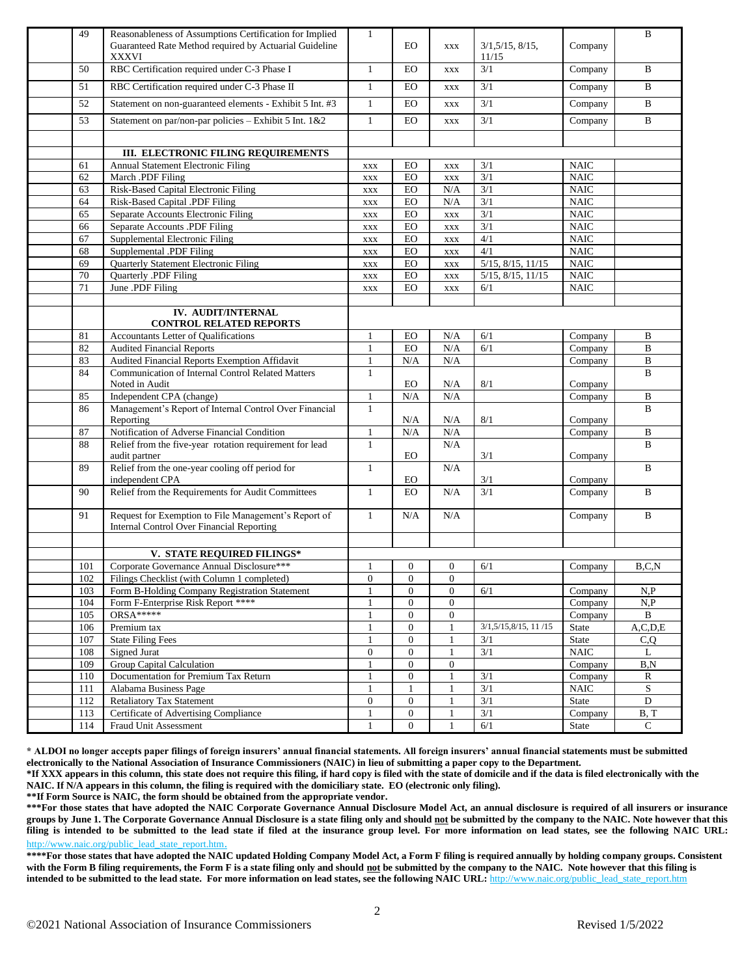| 49         | Reasonableness of Assumptions Certification for Implied<br>Guaranteed Rate Method required by Actuarial Guideline<br><b>XXXVI</b> | $\mathbf{1}$      | <b>EO</b>        | <b>XXX</b>       | 3/1, 5/15, 8/15,<br>11/15 | Company              | $\, {\bf B}$             |
|------------|-----------------------------------------------------------------------------------------------------------------------------------|-------------------|------------------|------------------|---------------------------|----------------------|--------------------------|
| 50         | RBC Certification required under C-3 Phase I                                                                                      | $\mathbf{1}$      | EO               | <b>XXX</b>       | 3/1                       | Company              | B                        |
| 51         | RBC Certification required under C-3 Phase II                                                                                     | $\mathbf{1}$      | $_{\rm EO}$      | <b>XXX</b>       | 3/1                       | Company              | $\bf{B}$                 |
| 52         | Statement on non-guaranteed elements - Exhibit 5 Int. #3                                                                          | $\mathbf{1}$      | EO               | <b>XXX</b>       | 3/1                       | Company              | B                        |
| 53         | Statement on par/non-par policies - Exhibit 5 Int. 1&2                                                                            | $\mathbf{1}$      | EO               | <b>XXX</b>       | 3/1                       | Company              | $\bf{B}$                 |
|            |                                                                                                                                   |                   |                  |                  |                           |                      |                          |
|            | III. ELECTRONIC FILING REQUIREMENTS                                                                                               |                   |                  |                  |                           |                      |                          |
| 61         | Annual Statement Electronic Filing                                                                                                | <b>XXX</b>        | EO               | <b>XXX</b>       | 3/1                       | <b>NAIC</b>          |                          |
| 62         | March .PDF Filing                                                                                                                 | <b>XXX</b>        | EO               | <b>XXX</b>       | 3/1                       | <b>NAIC</b>          |                          |
| 63         | Risk-Based Capital Electronic Filing                                                                                              | <b>XXX</b>        | ${\rm EO}$       | N/A              | 3/1                       | <b>NAIC</b>          |                          |
| 64         | Risk-Based Capital .PDF Filing                                                                                                    | <b>XXX</b>        | EO               | N/A              | 3/1                       | <b>NAIC</b>          |                          |
| 65         | Separate Accounts Electronic Filing                                                                                               | <b>XXX</b>        | $_{\rm EO}$      | <b>XXX</b>       | $\overline{3/1}$          | <b>NAIC</b>          |                          |
| 66         | Separate Accounts .PDF Filing                                                                                                     | <b>XXX</b>        | ${\rm EO}$       | <b>XXX</b>       | 3/1                       | <b>NAIC</b>          |                          |
| 67         | Supplemental Electronic Filing                                                                                                    | <b>XXX</b>        | EO               | <b>XXX</b>       | 4/1                       | <b>NAIC</b>          |                          |
| 68         | Supplemental .PDF Filing                                                                                                          | <b>XXX</b>        | EO               | <b>XXX</b>       | 4/1                       | <b>NAIC</b>          |                          |
| 69         | Quarterly Statement Electronic Filing                                                                                             | <b>XXX</b>        | ${\rm EO}$       | $\mathbf{XXX}$   | $5/15$ , $8/15$ , $11/15$ | <b>NAIC</b>          |                          |
| 70         | Quarterly .PDF Filing                                                                                                             | $\mathbf{XXX}$    | ${\rm EO}$       | $\mathbf{XXX}$   | $5/15$ , $8/15$ , $11/15$ | <b>NAIC</b>          |                          |
| 71         | June .PDF Filing                                                                                                                  | <b>XXX</b>        | $_{\rm EO}$      | <b>XXX</b>       | 6/1                       | <b>NAIC</b>          |                          |
|            |                                                                                                                                   |                   |                  |                  |                           |                      |                          |
|            | <b>IV. AUDIT/INTERNAL</b><br><b>CONTROL RELATED REPORTS</b>                                                                       |                   |                  |                  |                           |                      |                          |
| 81         | Accountants Letter of Qualifications                                                                                              | 1                 | EO               | N/A              | 6/1                       | Company              | B                        |
| 82         | <b>Audited Financial Reports</b>                                                                                                  | 1                 | $_{\rm EO}$      | N/A              | 6/1                       | Company              | $\, {\bf B}$             |
| 83         | Audited Financial Reports Exemption Affidavit                                                                                     | $\mathbf{1}$      | N/A              | N/A              |                           | Company              | $\, {\bf B}$             |
| 84         | Communication of Internal Control Related Matters<br>Noted in Audit                                                               | $\mathbf{1}$      | EO               | N/A              | 8/1                       | Company              | $\mathbf{B}$             |
| 85         | Independent CPA (change)                                                                                                          | $\mathbf{1}$      | N/A              | N/A              |                           | Company              | $\, {\bf B}$             |
| 86         | Management's Report of Internal Control Over Financial<br>Reporting                                                               | $\mathbf{1}$      | N/A              | N/A              | 8/1                       | Company              | B                        |
| 87         | Notification of Adverse Financial Condition                                                                                       | $\mathbf{1}$      | N/A              | N/A              |                           | Company              | B                        |
| 88         | Relief from the five-year rotation requirement for lead                                                                           | $\mathbf{1}$      |                  | N/A              |                           |                      | B                        |
|            | audit partner                                                                                                                     |                   | <b>EO</b>        |                  | 3/1                       | Company              |                          |
| 89         | Relief from the one-year cooling off period for<br>independent CPA                                                                | 1                 | <b>EO</b>        | N/A              | 3/1                       | Company              | B                        |
| 90         | Relief from the Requirements for Audit Committees                                                                                 | $\mathbf{1}$      | <b>EO</b>        | N/A              | 3/1                       | Company              | B                        |
|            |                                                                                                                                   |                   |                  |                  |                           |                      |                          |
| 91         | Request for Exemption to File Management's Report of<br><b>Internal Control Over Financial Reporting</b>                          | $\mathbf{1}$      | N/A              | N/A              |                           | Company              | $\bf{B}$                 |
|            |                                                                                                                                   |                   |                  |                  |                           |                      |                          |
|            | V. STATE REQUIRED FILINGS*                                                                                                        |                   |                  |                  |                           |                      |                          |
| 101        | Corporate Governance Annual Disclosure***                                                                                         | 1                 | $\mathbf{0}$     | $\boldsymbol{0}$ | 6/1                       | Company              | B, C, N                  |
| 102        | Filings Checklist (with Column 1 completed)                                                                                       | $\boldsymbol{0}$  | 0                | $\boldsymbol{0}$ |                           |                      |                          |
| 103        | Form B-Holding Company Registration Statement                                                                                     | $\mathbf{1}$      | $\mathbf{0}$     | $\overline{0}$   | 6/1                       | Company              | N, P                     |
| 104        | Form F-Enterprise Risk Report ****                                                                                                | 1                 | $\mathbf{0}$     | $\boldsymbol{0}$ |                           | Company              | N, P                     |
| 105        | $ORSA*****$                                                                                                                       | 1                 | 0                | $\boldsymbol{0}$ |                           | Company              | $\, {\bf B}$             |
| 106        | Premium tax                                                                                                                       | 1                 | $\overline{0}$   | $\mathbf{1}$     | 3/1,5/15,8/15, 11/15      | State                | A, C, D, E               |
| 107        | <b>State Filing Fees</b>                                                                                                          | 1                 | $\boldsymbol{0}$ | $\mathbf{1}$     | 3/1                       | State                | C,Q                      |
| 108        | Signed Jurat                                                                                                                      | $\mathbf{0}$      | 0                | 1                | 3/1                       | $\rm NAIC$           | L                        |
| 109        | Group Capital Calculation                                                                                                         | $\mathbf{1}$      | $\boldsymbol{0}$ | $\boldsymbol{0}$ |                           | Company              | B, N                     |
| 110        | Documentation for Premium Tax Return<br>Alabama Business Page                                                                     | $\mathbf{1}$<br>1 | $\boldsymbol{0}$ | $\mathbf{1}$     | 3/1                       | Company              | $\mathbb{R}$             |
| 111<br>112 | <b>Retaliatory Tax Statement</b>                                                                                                  | $\mathbf{0}$      | $\boldsymbol{0}$ | 1<br>1           | 3/1<br>3/1                | <b>NAIC</b><br>State | ${\bf S}$<br>$\mathbf D$ |
| 113        | Certificate of Advertising Compliance                                                                                             | $\mathbf{1}$      | $\boldsymbol{0}$ | $\mathbf{1}$     | 3/1                       | Company              | $\overline{B}$ , T       |
| 114        | Fraud Unit Assessment                                                                                                             | $\mathbf{1}$      | $\boldsymbol{0}$ | $\mathbf{1}$     | 6/1                       | State                | $\mathsf{C}$             |
|            |                                                                                                                                   |                   |                  |                  |                           |                      |                          |

**\* ALDOI no longer accepts paper filings of foreign insurers' annual financial statements. All foreign insurers' annual financial statements must be submitted electronically to the National Association of Insurance Commissioners (NAIC) in lieu of submitting a paper copy to the Department.**

**\*If XXX appears in this column, this state does not require this filing, if hard copy is filed with the state of domicile and if the data is filed electronically with the NAIC. If N/A appears in this column, the filing is required with the domiciliary state. EO (electronic only filing).**

**\*\*If Form Source is NAIC, the form should be obtained from the appropriate vendor.**

**\*\*\*For those states that have adopted the NAIC Corporate Governance Annual Disclosure Model Act, an annual disclosure is required of all insurers or insurance groups by June 1. The Corporate Governance Annual Disclosure is a state filing only and should not be submitted by the company to the NAIC. Note however that this filing is intended to be submitted to the lead state if filed at the insurance group level. For more information on lead states, see the following NAIC URL:**  [http://www.naic.org/public\\_lead\\_state\\_report.htm](http://www.naic.org/public_lead_state_report.htm).

**\*\*\*\*For those states that have adopted the NAIC updated Holding Company Model Act, a Form F filing is required annually by holding company groups. Consistent with the Form B filing requirements, the Form F is a state filing only and should not be submitted by the company to the NAIC. Note however that this filing is intended to be submitted to the lead state. For more information on lead states, see the following NAIC URL: [http://www.naic.org/public\\_lead\\_state\\_report.htm](http://www.naic.org/public_lead_state_report.htm)**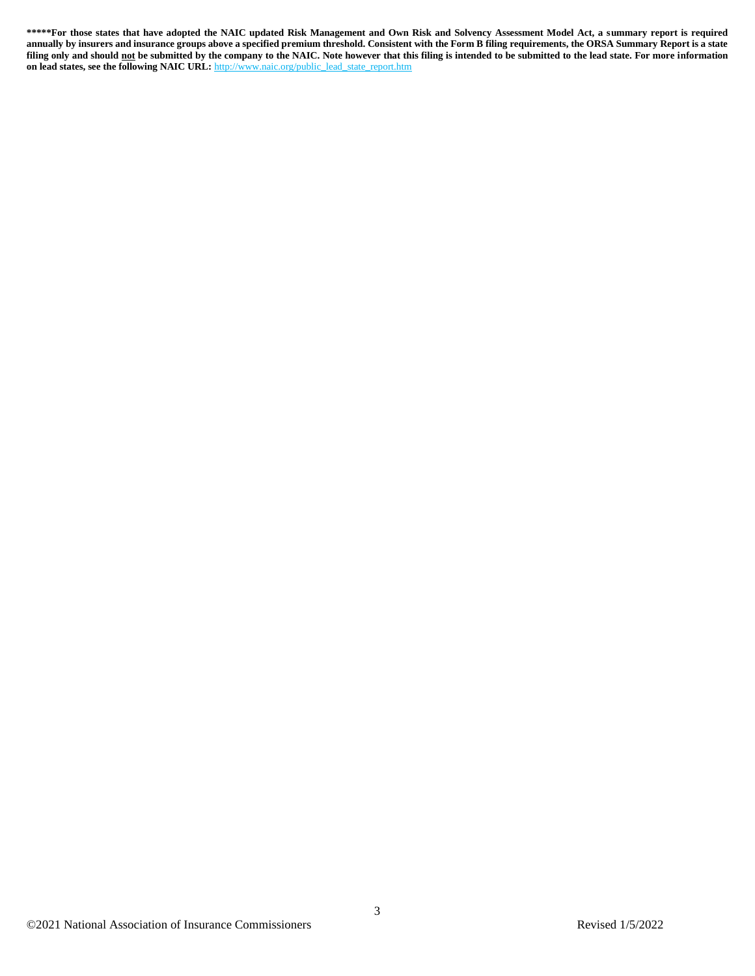**\*\*\*\*\*For those states that have adopted the NAIC updated Risk Management and Own Risk and Solvency Assessment Model Act, a summary report is required annually by insurers and insurance groups above a specified premium threshold. Consistent with the Form B filing requirements, the ORSA Summary Report is a state filing only and should not be submitted by the company to the NAIC. Note however that this filing is intended to be submitted to the lead state. For more information on lead states, see the following NAIC URL:** [http://www.naic.org/public\\_lead\\_state\\_report.htm](http://www.naic.org/public_lead_state_report.htm)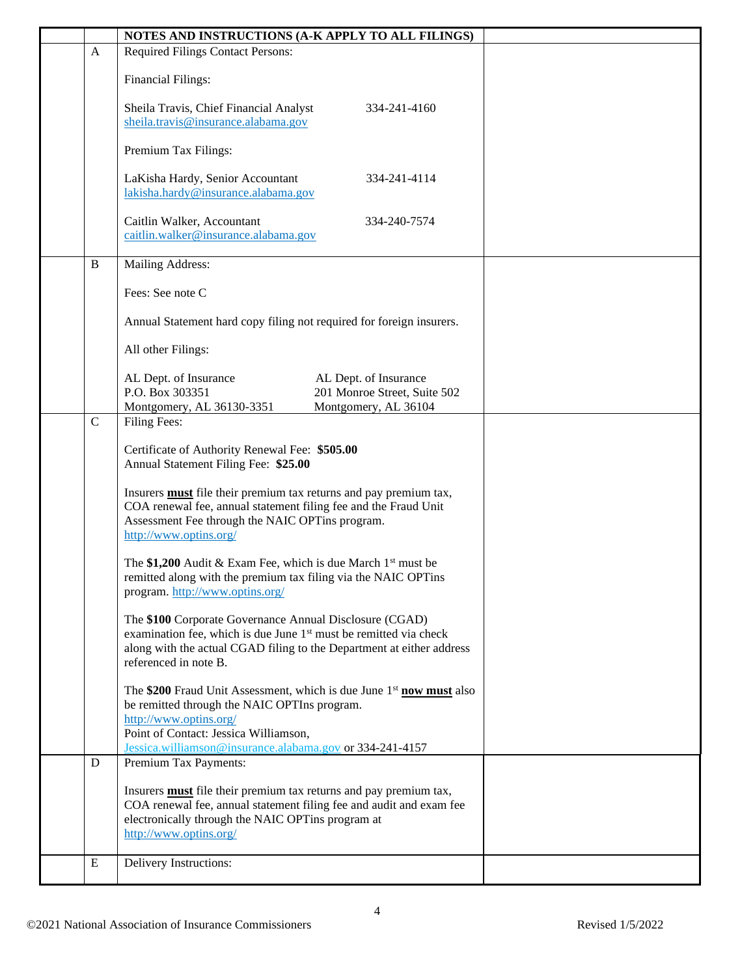|             | NOTES AND INSTRUCTIONS (A-K APPLY TO ALL FILINGS)                                                                                                                                                                                                     |  |
|-------------|-------------------------------------------------------------------------------------------------------------------------------------------------------------------------------------------------------------------------------------------------------|--|
| A           | <b>Required Filings Contact Persons:</b>                                                                                                                                                                                                              |  |
|             | <b>Financial Filings:</b>                                                                                                                                                                                                                             |  |
|             | Sheila Travis, Chief Financial Analyst<br>334-241-4160<br>sheila.travis@insurance.alabama.gov                                                                                                                                                         |  |
|             | Premium Tax Filings:                                                                                                                                                                                                                                  |  |
|             | LaKisha Hardy, Senior Accountant<br>334-241-4114<br>lakisha.hardy@insurance.alabama.gov                                                                                                                                                               |  |
|             | Caitlin Walker, Accountant<br>334-240-7574<br>caitlin.walker@insurance.alabama.gov                                                                                                                                                                    |  |
| B           | Mailing Address:                                                                                                                                                                                                                                      |  |
|             | Fees: See note C                                                                                                                                                                                                                                      |  |
|             | Annual Statement hard copy filing not required for foreign insurers.                                                                                                                                                                                  |  |
|             | All other Filings:                                                                                                                                                                                                                                    |  |
|             | AL Dept. of Insurance<br>AL Dept. of Insurance<br>P.O. Box 303351<br>201 Monroe Street, Suite 502<br>Montgomery, AL 36104<br>Montgomery, AL 36130-3351                                                                                                |  |
| $\mathbf C$ | Filing Fees:                                                                                                                                                                                                                                          |  |
|             | Certificate of Authority Renewal Fee: \$505.00<br>Annual Statement Filing Fee: \$25.00                                                                                                                                                                |  |
|             | Insurers <b>must</b> file their premium tax returns and pay premium tax,<br>COA renewal fee, annual statement filing fee and the Fraud Unit<br>Assessment Fee through the NAIC OPTins program.<br>http://www.optins.org/                              |  |
|             | The \$1,200 Audit & Exam Fee, which is due March $1st$ must be<br>remitted along with the premium tax filing via the NAIC OPTins<br>program. http://www.optins.org/                                                                                   |  |
|             | The \$100 Corporate Governance Annual Disclosure (CGAD)<br>examination fee, which is due June 1 <sup>st</sup> must be remitted via check<br>along with the actual CGAD filing to the Department at either address<br>referenced in note B.            |  |
|             | The \$200 Fraud Unit Assessment, which is due June $1st$ now must also<br>be remitted through the NAIC OPTIns program.<br>http://www.optins.org/<br>Point of Contact: Jessica Williamson,<br>Jessica.williamson@insurance.alabama.gov or 334-241-4157 |  |
| D           | Premium Tax Payments:                                                                                                                                                                                                                                 |  |
|             | Insurers <b>must</b> file their premium tax returns and pay premium tax,<br>COA renewal fee, annual statement filing fee and audit and exam fee<br>electronically through the NAIC OPTins program at<br>http://www.optins.org/                        |  |
| Ε           | Delivery Instructions:                                                                                                                                                                                                                                |  |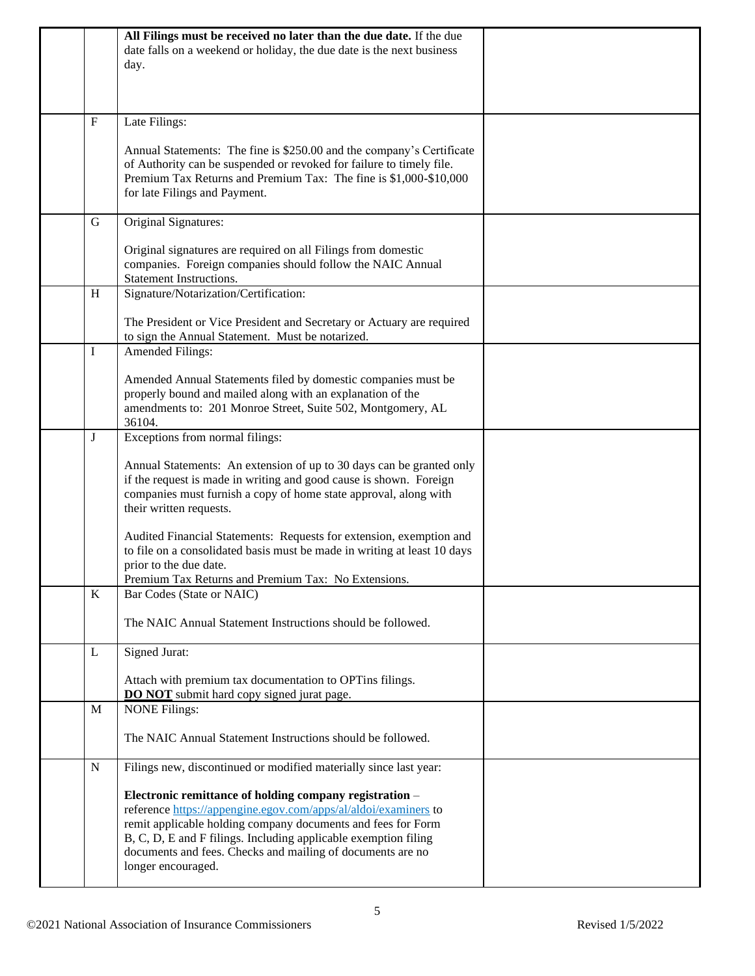|           | All Filings must be received no later than the due date. If the due<br>date falls on a weekend or holiday, the due date is the next business<br>day.                                                                                                                                                                                              |  |
|-----------|---------------------------------------------------------------------------------------------------------------------------------------------------------------------------------------------------------------------------------------------------------------------------------------------------------------------------------------------------|--|
| F         | Late Filings:                                                                                                                                                                                                                                                                                                                                     |  |
|           | Annual Statements: The fine is \$250.00 and the company's Certificate<br>of Authority can be suspended or revoked for failure to timely file.<br>Premium Tax Returns and Premium Tax: The fine is \$1,000-\$10,000<br>for late Filings and Payment.                                                                                               |  |
| G         | Original Signatures:                                                                                                                                                                                                                                                                                                                              |  |
|           | Original signatures are required on all Filings from domestic<br>companies. Foreign companies should follow the NAIC Annual<br><b>Statement Instructions.</b>                                                                                                                                                                                     |  |
| H         | Signature/Notarization/Certification:                                                                                                                                                                                                                                                                                                             |  |
|           | The President or Vice President and Secretary or Actuary are required<br>to sign the Annual Statement. Must be notarized.                                                                                                                                                                                                                         |  |
| I         | <b>Amended Filings:</b>                                                                                                                                                                                                                                                                                                                           |  |
|           | Amended Annual Statements filed by domestic companies must be<br>properly bound and mailed along with an explanation of the<br>amendments to: 201 Monroe Street, Suite 502, Montgomery, AL<br>36104.                                                                                                                                              |  |
| J         | Exceptions from normal filings:                                                                                                                                                                                                                                                                                                                   |  |
|           | Annual Statements: An extension of up to 30 days can be granted only<br>if the request is made in writing and good cause is shown. Foreign<br>companies must furnish a copy of home state approval, along with<br>their written requests.                                                                                                         |  |
|           | Audited Financial Statements: Requests for extension, exemption and<br>to file on a consolidated basis must be made in writing at least 10 days<br>prior to the due date.<br>Premium Tax Returns and Premium Tax: No Extensions.                                                                                                                  |  |
| $\bf K$   | Bar Codes (State or NAIC)                                                                                                                                                                                                                                                                                                                         |  |
|           | The NAIC Annual Statement Instructions should be followed.                                                                                                                                                                                                                                                                                        |  |
| L         | Signed Jurat:                                                                                                                                                                                                                                                                                                                                     |  |
|           | Attach with premium tax documentation to OPTins filings.<br><b>DO NOT</b> submit hard copy signed jurat page.                                                                                                                                                                                                                                     |  |
| M         | <b>NONE Filings:</b>                                                                                                                                                                                                                                                                                                                              |  |
|           | The NAIC Annual Statement Instructions should be followed.                                                                                                                                                                                                                                                                                        |  |
| ${\bf N}$ | Filings new, discontinued or modified materially since last year:                                                                                                                                                                                                                                                                                 |  |
|           | Electronic remittance of holding company registration -<br>reference https://appengine.egov.com/apps/al/aldoi/examiners to<br>remit applicable holding company documents and fees for Form<br>B, C, D, E and F filings. Including applicable exemption filing<br>documents and fees. Checks and mailing of documents are no<br>longer encouraged. |  |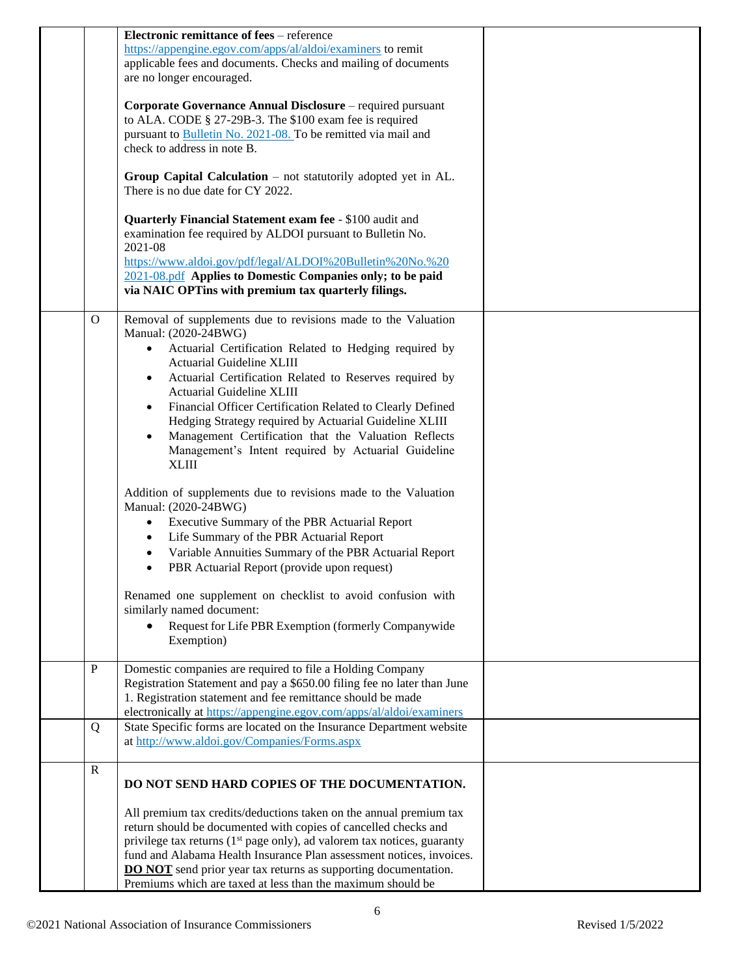|              | Electronic remittance of fees - reference                                                                                                                                                                                                                                                                                                                                                                                                                                                                                                                    |  |
|--------------|--------------------------------------------------------------------------------------------------------------------------------------------------------------------------------------------------------------------------------------------------------------------------------------------------------------------------------------------------------------------------------------------------------------------------------------------------------------------------------------------------------------------------------------------------------------|--|
|              | https://appengine.egov.com/apps/al/aldoi/examiners to remit<br>applicable fees and documents. Checks and mailing of documents<br>are no longer encouraged.                                                                                                                                                                                                                                                                                                                                                                                                   |  |
|              | Corporate Governance Annual Disclosure – required pursuant<br>to ALA. CODE § 27-29B-3. The \$100 exam fee is required<br>pursuant to Bulletin No. 2021-08. To be remitted via mail and<br>check to address in note B.                                                                                                                                                                                                                                                                                                                                        |  |
|              | Group Capital Calculation $-$ not statutorily adopted yet in AL.<br>There is no due date for CY 2022.                                                                                                                                                                                                                                                                                                                                                                                                                                                        |  |
|              | Quarterly Financial Statement exam fee - \$100 audit and<br>examination fee required by ALDOI pursuant to Bulletin No.<br>2021-08<br>https://www.aldoi.gov/pdf/legal/ALDOI%20Bulletin%20No.%20<br>2021-08.pdf Applies to Domestic Companies only; to be paid<br>via NAIC OPTins with premium tax quarterly filings.                                                                                                                                                                                                                                          |  |
| $\Omega$     | Removal of supplements due to revisions made to the Valuation<br>Manual: (2020-24BWG)<br>Actuarial Certification Related to Hedging required by<br>$\bullet$<br>Actuarial Guideline XLIII<br>Actuarial Certification Related to Reserves required by<br><b>Actuarial Guideline XLIII</b><br>Financial Officer Certification Related to Clearly Defined<br>Hedging Strategy required by Actuarial Guideline XLIII<br>Management Certification that the Valuation Reflects<br>$\bullet$<br>Management's Intent required by Actuarial Guideline<br><b>XLIII</b> |  |
|              | Addition of supplements due to revisions made to the Valuation<br>Manual: (2020-24BWG)<br>Executive Summary of the PBR Actuarial Report<br>$\bullet$<br>Life Summary of the PBR Actuarial Report<br>$\bullet$<br>Variable Annuities Summary of the PBR Actuarial Report<br>$\bullet$<br>PBR Actuarial Report (provide upon request)<br>$\bullet$                                                                                                                                                                                                             |  |
|              | Renamed one supplement on checklist to avoid confusion with<br>similarly named document:<br>Request for Life PBR Exemption (formerly Companywide<br>Exemption)                                                                                                                                                                                                                                                                                                                                                                                               |  |
| $\mathbf P$  | Domestic companies are required to file a Holding Company<br>Registration Statement and pay a \$650.00 filing fee no later than June<br>1. Registration statement and fee remittance should be made<br>electronically at https://appengine.egov.com/apps/al/aldoi/examiners                                                                                                                                                                                                                                                                                  |  |
| Q            | State Specific forms are located on the Insurance Department website<br>at http://www.aldoi.gov/Companies/Forms.aspx                                                                                                                                                                                                                                                                                                                                                                                                                                         |  |
| $\mathbb{R}$ | DO NOT SEND HARD COPIES OF THE DOCUMENTATION.                                                                                                                                                                                                                                                                                                                                                                                                                                                                                                                |  |
|              | All premium tax credits/deductions taken on the annual premium tax<br>return should be documented with copies of cancelled checks and<br>privilege tax returns $(1st$ page only), ad valorem tax notices, guaranty<br>fund and Alabama Health Insurance Plan assessment notices, invoices.<br><b>DO NOT</b> send prior year tax returns as supporting documentation.<br>Premiums which are taxed at less than the maximum should be                                                                                                                          |  |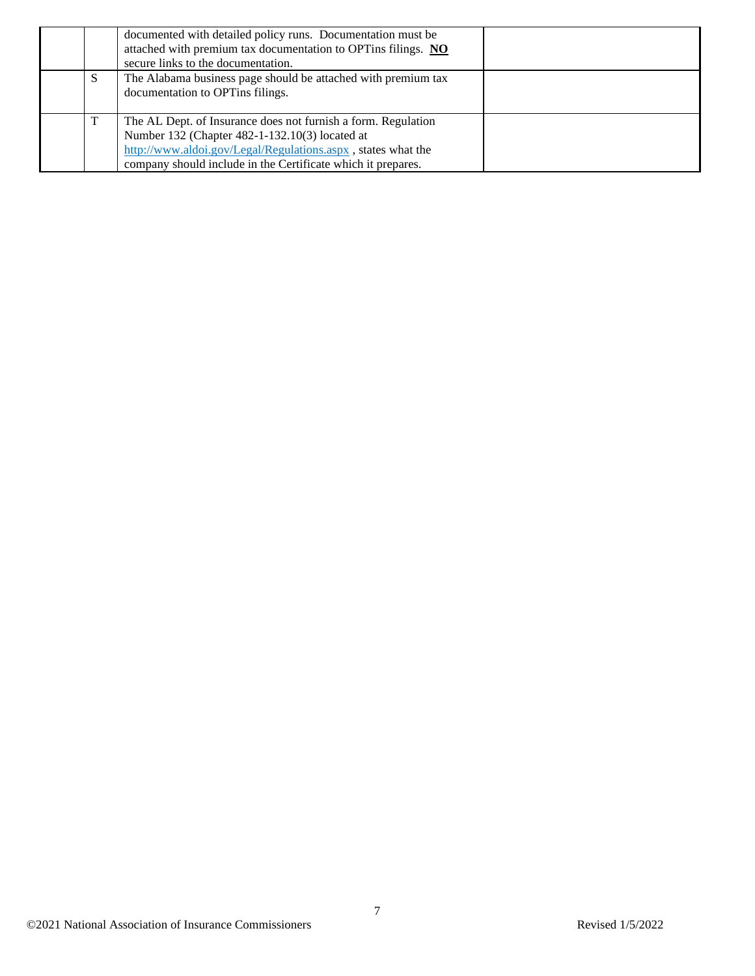|   | documented with detailed policy runs. Documentation must be<br>attached with premium tax documentation to OPTins filings. NO<br>secure links to the documentation.                                                                              |  |
|---|-------------------------------------------------------------------------------------------------------------------------------------------------------------------------------------------------------------------------------------------------|--|
| S | The Alabama business page should be attached with premium tax<br>documentation to OPTins filings.                                                                                                                                               |  |
|   | The AL Dept. of Insurance does not furnish a form. Regulation<br>Number 132 (Chapter 482-1-132.10(3) located at<br>http://www.aldoi.gov/Legal/Regulations.aspx, states what the<br>company should include in the Certificate which it prepares. |  |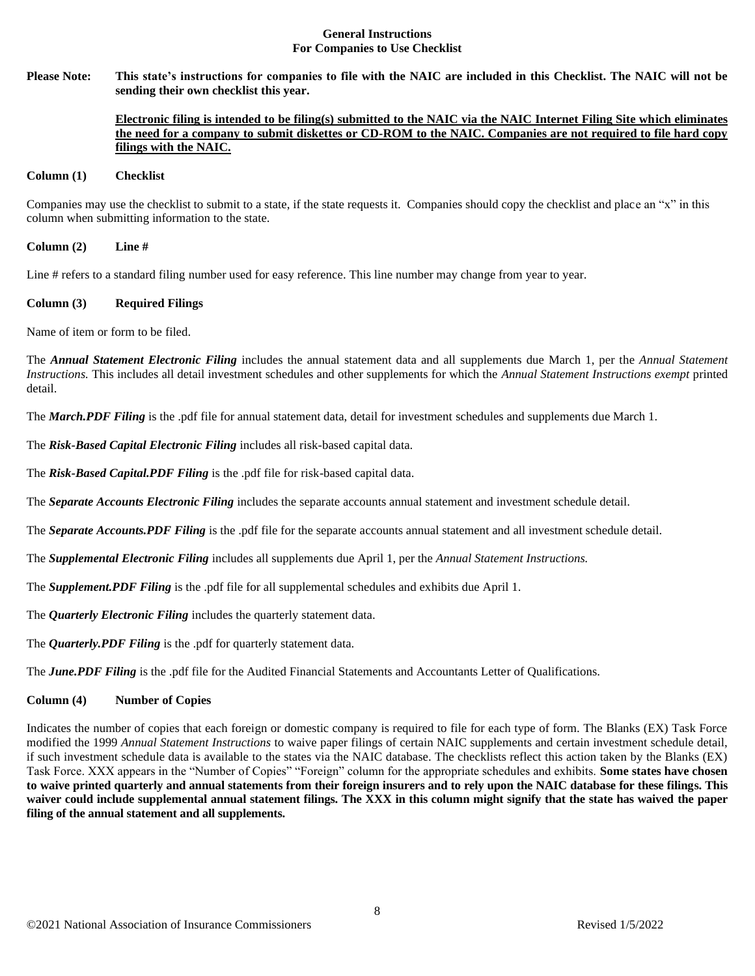### **General Instructions For Companies to Use Checklist**

**Please Note: This state's instructions for companies to file with the NAIC are included in this Checklist. The NAIC will not be sending their own checklist this year.** 

## **Electronic filing is intended to be filing(s) submitted to the NAIC via the NAIC Internet Filing Site which eliminates the need for a company to submit diskettes or CD-ROM to the NAIC. Companies are not required to file hard copy filings with the NAIC.**

#### **Column (1) Checklist**

Companies may use the checklist to submit to a state, if the state requests it. Companies should copy the checklist and place an "x" in this column when submitting information to the state.

**Column (2) Line #**

Line # refers to a standard filing number used for easy reference. This line number may change from year to year.

### **Column (3) Required Filings**

Name of item or form to be filed.

The *Annual Statement Electronic Filing* includes the annual statement data and all supplements due March 1, per the *Annual Statement Instructions.* This includes all detail investment schedules and other supplements for which the *Annual Statement Instructions exempt* printed detail.

The *March.PDF Filing* is the .pdf file for annual statement data, detail for investment schedules and supplements due March 1.

The *Risk-Based Capital Electronic Filing* includes all risk-based capital data.

The *Risk-Based Capital.PDF Filing* is the .pdf file for risk-based capital data.

The *Separate Accounts Electronic Filing* includes the separate accounts annual statement and investment schedule detail.

The *Separate Accounts.PDF Filing* is the .pdf file for the separate accounts annual statement and all investment schedule detail.

The *Supplemental Electronic Filing* includes all supplements due April 1, per the *Annual Statement Instructions.* 

The *Supplement.PDF Filing* is the .pdf file for all supplemental schedules and exhibits due April 1.

The *Quarterly Electronic Filing* includes the quarterly statement data.

The *Quarterly.PDF Filing* is the .pdf for quarterly statement data.

The *June.PDF Filing* is the .pdf file for the Audited Financial Statements and Accountants Letter of Qualifications.

#### **Column (4) Number of Copies**

Indicates the number of copies that each foreign or domestic company is required to file for each type of form. The Blanks (EX) Task Force modified the 1999 *Annual Statement Instructions* to waive paper filings of certain NAIC supplements and certain investment schedule detail, if such investment schedule data is available to the states via the NAIC database. The checklists reflect this action taken by the Blanks (EX) Task Force. XXX appears in the "Number of Copies" "Foreign" column for the appropriate schedules and exhibits. **Some states have chosen to waive printed quarterly and annual statements from their foreign insurers and to rely upon the NAIC database for these filings. This waiver could include supplemental annual statement filings. The XXX in this column might signify that the state has waived the paper filing of the annual statement and all supplements.**